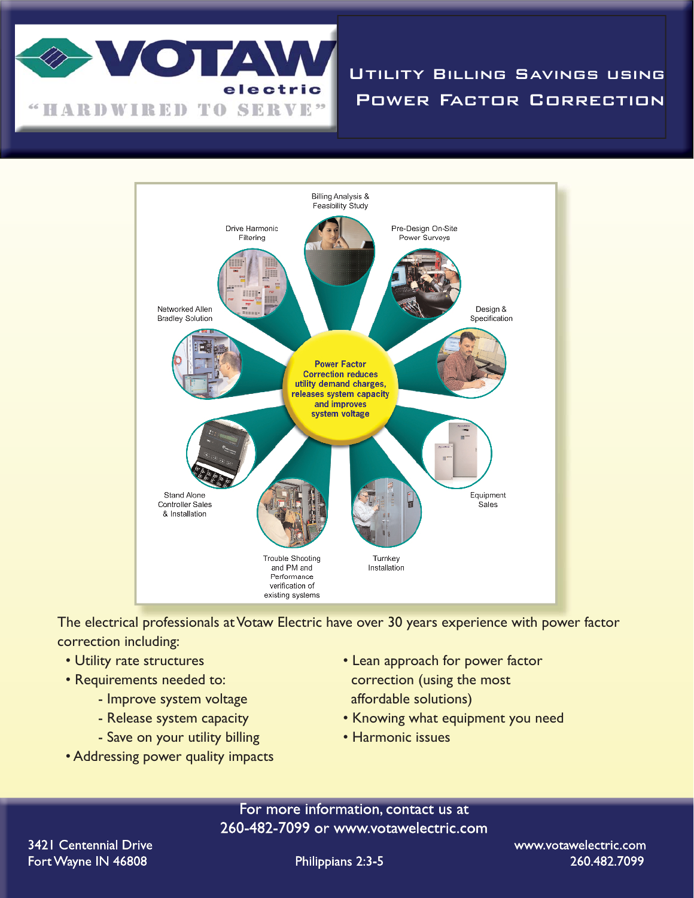

Utility Billing Savings using Power Factor Correction



The electrical professionals at Votaw Electric have over 30 years experience with power factor correction including:

- 
- - Improve system voltage affordable solutions)
	-
	- Save on your utility billing Harmonic issues
- Addressing power quality impacts
- Utility rate structures Lean approach for power factor • Requirements needed to: correction (using the most
	- Release system capacity  **Knowing what equipment you need** 
		-

For more information, contact us at 260-482-7099 or www.votawelectric.com

Philippians 2:3-5

www.votawelectric.com 260.482.7099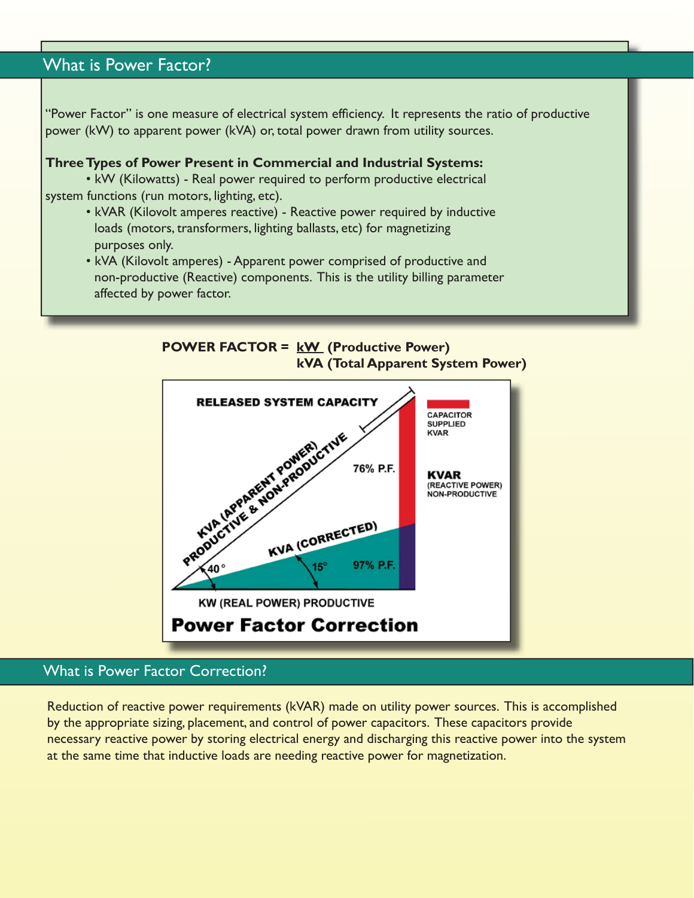# **What is Power Factor?**

"Power Factor" is one measure of electrical system efficiency. It represents the ratio of productive power (kW) to apparent power (kVA) or, total power drawn from utility sources.

#### **Three Types of Power Present in Commercial and Industrial Systems:**

• kW (Kilowatts) - Real power required to perform productive electrical system functions (run motors, lighting, etc).

- kVAR (Kilovolt amperes reactive) Reactive power required by inductive loads (motors, transformers, lighting ballasts, etc) for magnetizing purposes only.
- kVA (Kilovolt amperes) Apparent power comprised of productive and non-productive (Reactive) components. This is the utility billing parameter affected by power factor.



## What is Power Factor Correction?

Reduction of reactive power requirements (kVAR) made on utility power sources. This is accomplished by the appropriate sizing, placement, and control of power capacitors. These capacitors provide necessary reactive power by storing electrical energy and discharging this reactive power into the system at the same time that inductive loads are needing reactive power for magnetization.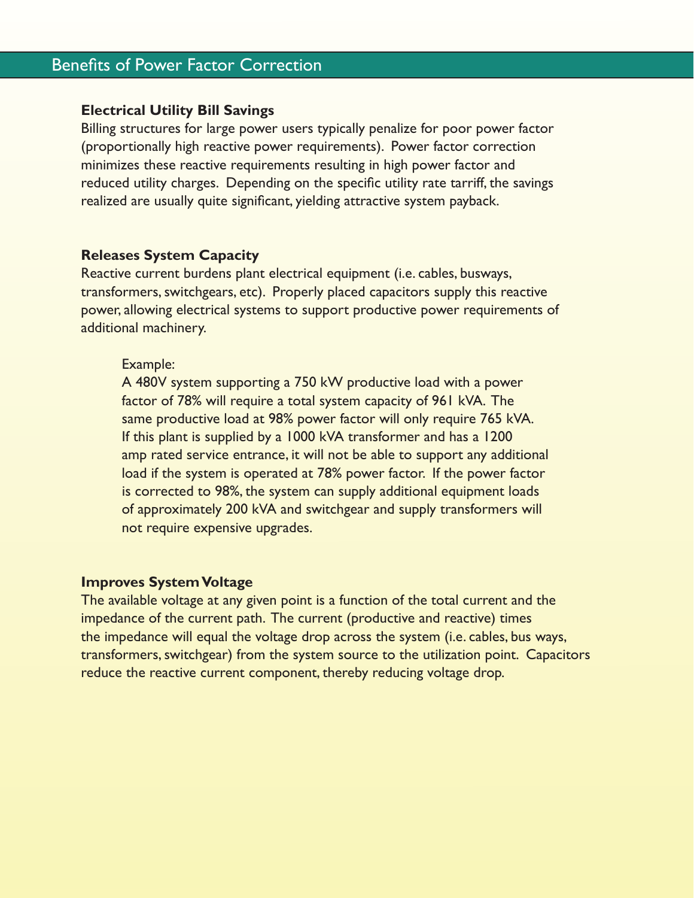# **Benefits of Power Factor Correction**

### **Electrical Utility Bill Savings**

Billing structures for large power users typically penalize for poor power factor (proportionally high reactive power requirements). Power factor correction minimizes these reactive requirements resulting in high power factor and reduced utility charges. Depending on the specific utility rate tarriff, the savings realized are usually quite significant, yielding attractive system payback.

### **Releases System Capacity**

Reactive current burdens plant electrical equipment (i.e. cables, busways, transformers, switchgears, etc). Properly placed capacitors supply this reactive power, allowing electrical systems to support productive power requirements of additional machinery.

#### Example:

 A 480V system supporting a 750 kW productive load with a power factor of 78% will require a total system capacity of 961 kVA. The same productive load at 98% power factor will only require 765 kVA. If this plant is supplied by a 1000 kVA transformer and has a 1200 amp rated service entrance, it will not be able to support any additional load if the system is operated at 78% power factor. If the power factor is corrected to 98%, the system can supply additional equipment loads of approximately 200 kVA and switchgear and supply transformers will not require expensive upgrades.

## **Improves System Voltage**

The available voltage at any given point is a function of the total current and the impedance of the current path. The current (productive and reactive) times the impedance will equal the voltage drop across the system (i.e. cables, bus ways, transformers, switchgear) from the system source to the utilization point. Capacitors reduce the reactive current component, thereby reducing voltage drop.